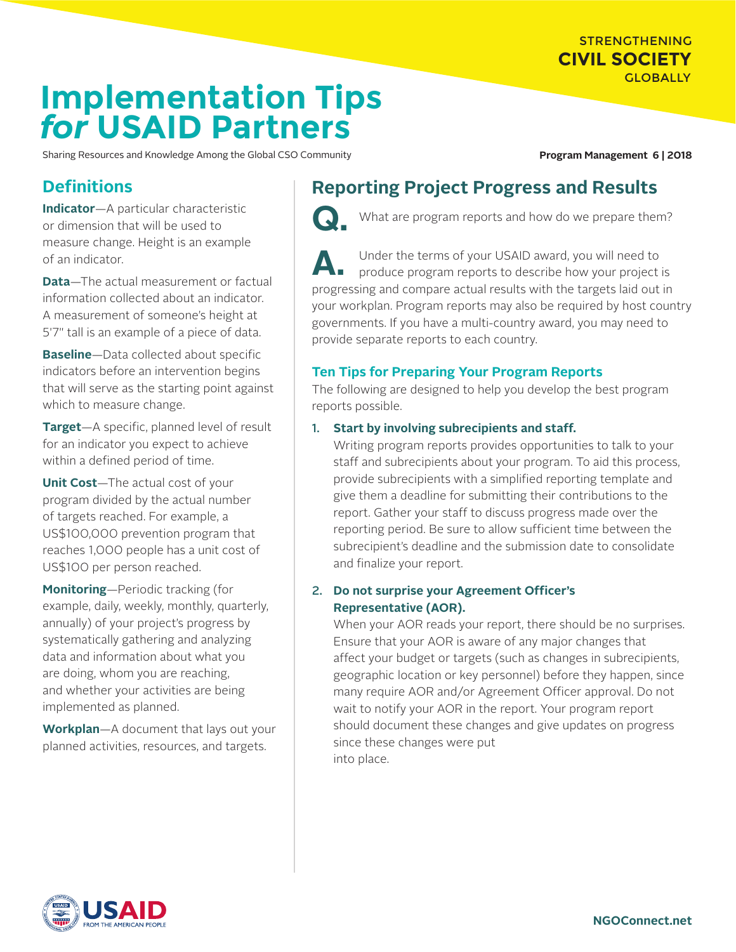#### STRENGTHENING **CIVIL SOCIETY GLOBALLY**

# **Implementation Tips** *for* **USAID Partners**

Sharing Resources and Knowledge Among the Global CSO Community **Program Management 6 | 2018** 

## **Definitions**

**Indicator**—A particular characteristic or dimension that will be used to measure change. Height is an example of an indicator.

**Data**—The actual measurement or factual information collected about an indicator. A measurement of someone's height at 5'7" tall is an example of a piece of data.

**Baseline**—Data collected about specific indicators before an intervention begins that will serve as the starting point against which to measure change.

**Target**—A specific, planned level of result for an indicator you expect to achieve within a defined period of time.

**Unit Cost**—The actual cost of your program divided by the actual number of targets reached. For example, a US\$100,000 prevention program that reaches 1,000 people has a unit cost of US\$100 per person reached.

**Monitoring**—Periodic tracking (for example, daily, weekly, monthly, quarterly, annually) of your project's progress by systematically gathering and analyzing data and information about what you are doing, whom you are reaching, and whether your activities are being implemented as planned.

**Workplan**—A document that lays out your planned activities, resources, and targets.

# **Reporting Project Progress and Results**



What are program reports and how do we prepare them?

A. Under the terms of your USAID award, you will need to produce program reports to describe how your project is progressing and compare actual results with the targets laid out in your workplan. Program reports may also be required by host country governments. If you have a multi-country award, you may need to provide separate reports to each country.

#### **Ten Tips for Preparing Your Program Reports**

The following are designed to help you develop the best program reports possible.

#### 1. **Start by involving subrecipients and staff.**

Writing program reports provides opportunities to talk to your staff and subrecipients about your program. To aid this process, provide subrecipients with a simplified reporting template and give them a deadline for submitting their contributions to the report. Gather your staff to discuss progress made over the reporting period. Be sure to allow sufficient time between the subrecipient's deadline and the submission date to consolidate and finalize your report.

#### 2. **Do not surprise your Agreement Officer's Representative (AOR).**

When your AOR reads your report, there should be no surprises. Ensure that your AOR is aware of any major changes that affect your budget or targets (such as changes in subrecipients, geographic location or key personnel) before they happen, since many require AOR and/or Agreement Officer approval. Do not wait to notify your AOR in the report. Your program report should document these changes and give updates on progress since these changes were put into place.

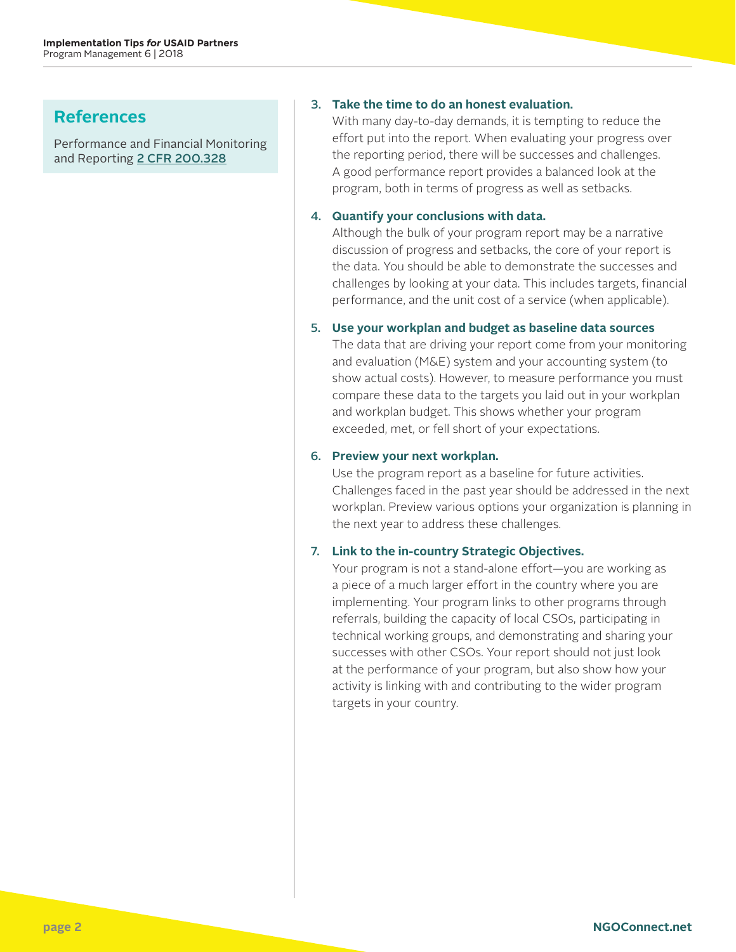## **References**

Performance and Financial Monitoring and Reporting [2 CFR 200.328](https://www.ecfr.gov/cgi-bin/text-idx?SID=a394f56393f5d37174e3874afd2c9284&mc=true&node=sg2.1.200_1326.sg4&rgn=div7)

#### 3. **Take the time to do an honest evaluation.**

With many day-to-day demands, it is tempting to reduce the effort put into the report. When evaluating your progress over the reporting period, there will be successes and challenges. A good performance report provides a balanced look at the program, both in terms of progress as well as setbacks.

#### 4. **Quantify your conclusions with data.**

Although the bulk of your program report may be a narrative discussion of progress and setbacks, the core of your report is the data. You should be able to demonstrate the successes and challenges by looking at your data. This includes targets, financial performance, and the unit cost of a service (when applicable).

#### 5. **Use your workplan and budget as baseline data sources**

The data that are driving your report come from your monitoring and evaluation (M&E) system and your accounting system (to show actual costs). However, to measure performance you must compare these data to the targets you laid out in your workplan and workplan budget. This shows whether your program exceeded, met, or fell short of your expectations.

#### 6. **Preview your next workplan.**

Use the program report as a baseline for future activities. Challenges faced in the past year should be addressed in the next workplan. Preview various options your organization is planning in the next year to address these challenges.

#### 7. **Link to the in-country Strategic Objectives.**

Your program is not a stand-alone effort—you are working as a piece of a much larger effort in the country where you are implementing. Your program links to other programs through referrals, building the capacity of local CSOs, participating in technical working groups, and demonstrating and sharing your successes with other CSOs. Your report should not just look at the performance of your program, but also show how your activity is linking with and contributing to the wider program targets in your country.